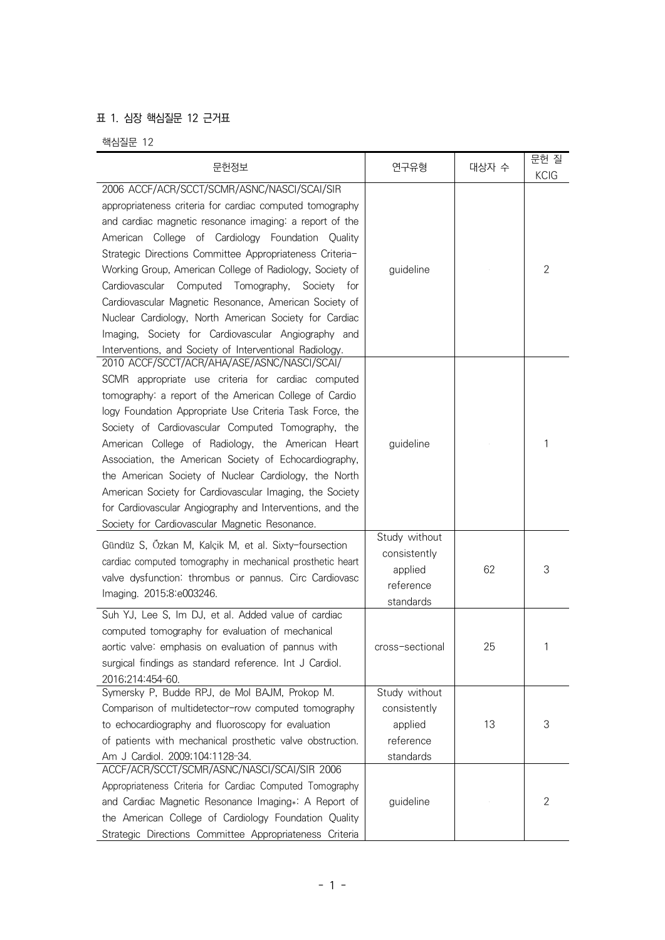## 표 1. 심장 핵심질문 12 근거표

핵심질문 12

| 문헌정보                                                                                                                                                                                                                                                                                                                                                                                                                                                                                                                                                                                                                                           | 연구유형                                                               | 대상자 수 | 문헌 질<br><b>KCIG</b> |
|------------------------------------------------------------------------------------------------------------------------------------------------------------------------------------------------------------------------------------------------------------------------------------------------------------------------------------------------------------------------------------------------------------------------------------------------------------------------------------------------------------------------------------------------------------------------------------------------------------------------------------------------|--------------------------------------------------------------------|-------|---------------------|
| 2006 ACCF/ACR/SCCT/SCMR/ASNC/NASCI/SCAI/SIR<br>appropriateness criteria for cardiac computed tomography<br>and cardiac magnetic resonance imaging: a report of the<br>American College of Cardiology Foundation Quality<br>Strategic Directions Committee Appropriateness Criteria-<br>Working Group, American College of Radiology, Society of<br>Cardiovascular<br>Computed Tomography,<br>Society for<br>Cardiovascular Magnetic Resonance, American Society of<br>Nuclear Cardiology, North American Society for Cardiac<br>Imaging, Society for Cardiovascular Angiography and<br>Interventions, and Society of Interventional Radiology. | guideline                                                          |       | 2                   |
| 2010 ACCF/SCCT/ACR/AHA/ASE/ASNC/NASCI/SCAI/<br>SCMR appropriate use criteria for cardiac computed<br>tomography: a report of the American College of Cardio<br>logy Foundation Appropriate Use Criteria Task Force, the<br>Society of Cardiovascular Computed Tomography, the<br>American College of Radiology, the American Heart<br>Association, the American Society of Echocardiography,<br>the American Society of Nuclear Cardiology, the North<br>American Society for Cardiovascular Imaging, the Society<br>for Cardiovascular Angiography and Interventions, and the<br>Society for Cardiovascular Magnetic Resonance.               | guideline                                                          |       | 1                   |
| Gündüz S, Özkan M, Kalçik M, et al. Sixty-foursection<br>cardiac computed tomography in mechanical prosthetic heart<br>valve dysfunction: thrombus or pannus. Circ Cardiovasc<br>Imaging. 2015;8:e003246.                                                                                                                                                                                                                                                                                                                                                                                                                                      | Study without<br>consistently<br>applied<br>reference<br>standards | 62    | 3                   |
| Suh YJ, Lee S, Im DJ, et al. Added value of cardiac<br>computed tomography for evaluation of mechanical<br>aortic valve: emphasis on evaluation of pannus with<br>surgical findings as standard reference. Int J Cardiol.<br>2016;214:454-60.                                                                                                                                                                                                                                                                                                                                                                                                  | cross-sectional                                                    | 25    | 1                   |
| Symersky P, Budde RPJ, de Mol BAJM, Prokop M.<br>Comparison of multidetector-row computed tomography<br>to echocardiography and fluoroscopy for evaluation<br>of patients with mechanical prosthetic valve obstruction.<br>Am J Cardiol. 2009;104:1128-34.                                                                                                                                                                                                                                                                                                                                                                                     | Study without<br>consistently<br>applied<br>reference<br>standards | 13    | 3                   |
| ACCF/ACR/SCCT/SCMR/ASNC/NASCI/SCAI/SIR 2006<br>Appropriateness Criteria for Cardiac Computed Tomography<br>and Cardiac Magnetic Resonance Imaging *: A Report of<br>the American College of Cardiology Foundation Quality<br>Strategic Directions Committee Appropriateness Criteria                                                                                                                                                                                                                                                                                                                                                           | guideline                                                          |       | 2                   |